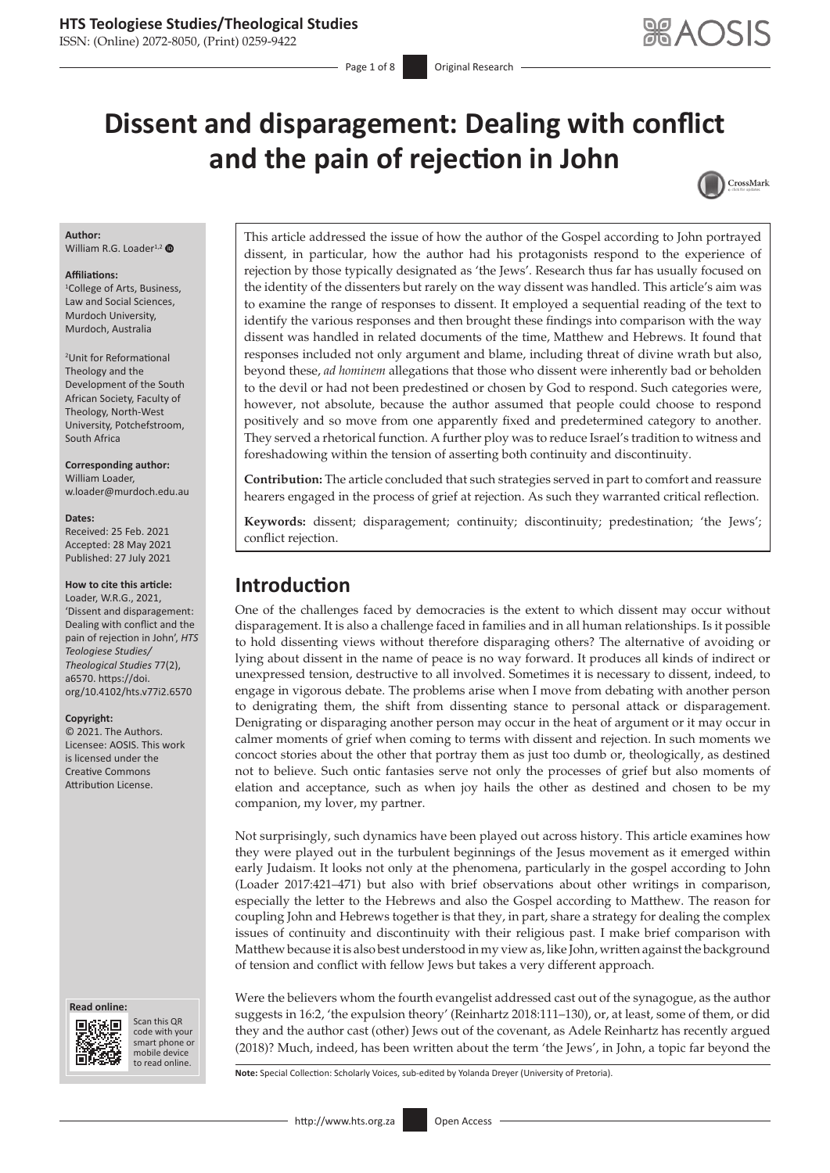ISSN: (Online) 2072-8050, (Print) 0259-9422

# **Dissent and disparagement: Dealing with conflict and the pain of rejection in John**



### **Author:**

William R.G. Loader<sup>1,[2](https://orcid.org/0000-0002-7790-3676)</sup>

#### **Affiliations:**

1 College of Arts, Business, Law and Social Sciences, Murdoch University, Murdoch, Australia

2 Unit for Reformational Theology and the Development of the South African Society, Faculty of Theology, North-West University, Potchefstroom, South Africa

**Corresponding author:** William Loader, [w.loader@murdoch.edu.au](mailto:w.loader@murdoch.edu.au)

#### **Dates:**

Received: 25 Feb. 2021 Accepted: 28 May 2021 Published: 27 July 2021

### **How to cite this article:**

Loader, W.R.G., 2021, 'Dissent and disparagement: Dealing with conflict and the pain of rejection in John', *HTS Teologiese Studies/ Theological Studies* 77(2), a6570. [https://doi.](https://doi.org/10.4102/hts.v77i2.6570) [org/10.4102/hts.v77i2.6570](https://doi.org/10.4102/hts.v77i2.6570)

#### **Copyright:**

© 2021. The Authors. Licensee: AOSIS. This work is licensed under the Creative Commons Attribution License.

#### **Read online: Read online:**



Scan this QR code with your Scan this QR<br>code with your<br>smart phone or<br>mobile device mobile device to read online. to read online.

This article addressed the issue of how the author of the Gospel according to John portrayed dissent, in particular, how the author had his protagonists respond to the experience of rejection by those typically designated as 'the Jews'. Research thus far has usually focused on the identity of the dissenters but rarely on the way dissent was handled. This article's aim was to examine the range of responses to dissent. It employed a sequential reading of the text to identify the various responses and then brought these findings into comparison with the way dissent was handled in related documents of the time, Matthew and Hebrews. It found that responses included not only argument and blame, including threat of divine wrath but also, beyond these, *ad hominem* allegations that those who dissent were inherently bad or beholden to the devil or had not been predestined or chosen by God to respond. Such categories were, however, not absolute, because the author assumed that people could choose to respond positively and so move from one apparently fixed and predetermined category to another. They served a rhetorical function. A further ploy was to reduce Israel's tradition to witness and foreshadowing within the tension of asserting both continuity and discontinuity.

**Contribution:** The article concluded that such strategies served in part to comfort and reassure hearers engaged in the process of grief at rejection. As such they warranted critical reflection.

**Keywords:** dissent; disparagement; continuity; discontinuity; predestination; 'the Jews'; conflict rejection.

# **Introduction**

One of the challenges faced by democracies is the extent to which dissent may occur without disparagement. It is also a challenge faced in families and in all human relationships. Is it possible to hold dissenting views without therefore disparaging others? The alternative of avoiding or lying about dissent in the name of peace is no way forward. It produces all kinds of indirect or unexpressed tension, destructive to all involved. Sometimes it is necessary to dissent, indeed, to engage in vigorous debate. The problems arise when I move from debating with another person to denigrating them, the shift from dissenting stance to personal attack or disparagement. Denigrating or disparaging another person may occur in the heat of argument or it may occur in calmer moments of grief when coming to terms with dissent and rejection. In such moments we concoct stories about the other that portray them as just too dumb or, theologically, as destined not to believe. Such ontic fantasies serve not only the processes of grief but also moments of elation and acceptance, such as when joy hails the other as destined and chosen to be my companion, my lover, my partner.

Not surprisingly, such dynamics have been played out across history. This article examines how they were played out in the turbulent beginnings of the Jesus movement as it emerged within early Judaism. It looks not only at the phenomena, particularly in the gospel according to John (Loader 2017:421–471) but also with brief observations about other writings in comparison, especially the letter to the Hebrews and also the Gospel according to Matthew. The reason for coupling John and Hebrews together is that they, in part, share a strategy for dealing the complex issues of continuity and discontinuity with their religious past. I make brief comparison with Matthew because it is also best understood in my view as, like John, written against the background of tension and conflict with fellow Jews but takes a very different approach.

Were the believers whom the fourth evangelist addressed cast out of the synagogue, as the author suggests in 16:2, 'the expulsion theory' (Reinhartz 2018:111–130), or, at least, some of them, or did they and the author cast (other) Jews out of the covenant, as Adele Reinhartz has recently argued (2018)? Much, indeed, has been written about the term 'the Jews', in John, a topic far beyond the

**Note:** Special Collection: Scholarly Voices, sub-edited by Yolanda Dreyer (University of Pretoria).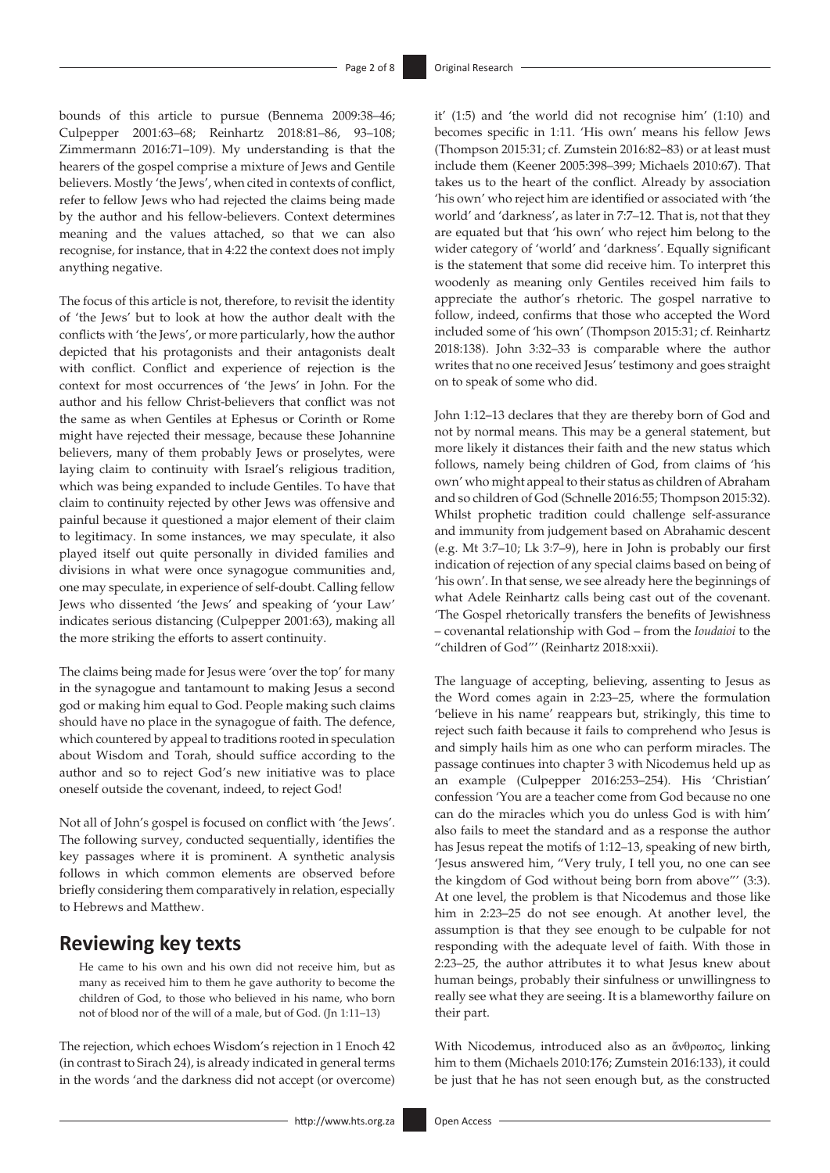bounds of this article to pursue (Bennema 2009:38–46; Culpepper 2001:63–68; Reinhartz 2018:81–86, 93–108; Zimmermann 2016:71–109). My understanding is that the hearers of the gospel comprise a mixture of Jews and Gentile believers. Mostly 'the Jews', when cited in contexts of conflict, refer to fellow Jews who had rejected the claims being made by the author and his fellow-believers. Context determines meaning and the values attached, so that we can also recognise, for instance, that in 4:22 the context does not imply anything negative.

The focus of this article is not, therefore, to revisit the identity of 'the Jews' but to look at how the author dealt with the conflicts with 'the Jews', or more particularly, how the author depicted that his protagonists and their antagonists dealt with conflict. Conflict and experience of rejection is the context for most occurrences of 'the Jews' in John. For the author and his fellow Christ-believers that conflict was not the same as when Gentiles at Ephesus or Corinth or Rome might have rejected their message, because these Johannine believers, many of them probably Jews or proselytes, were laying claim to continuity with Israel's religious tradition, which was being expanded to include Gentiles. To have that claim to continuity rejected by other Jews was offensive and painful because it questioned a major element of their claim to legitimacy. In some instances, we may speculate, it also played itself out quite personally in divided families and divisions in what were once synagogue communities and, one may speculate, in experience of self-doubt. Calling fellow Jews who dissented 'the Jews' and speaking of 'your Law' indicates serious distancing (Culpepper 2001:63), making all the more striking the efforts to assert continuity.

The claims being made for Jesus were 'over the top' for many in the synagogue and tantamount to making Jesus a second god or making him equal to God. People making such claims should have no place in the synagogue of faith. The defence, which countered by appeal to traditions rooted in speculation about Wisdom and Torah, should suffice according to the author and so to reject God's new initiative was to place oneself outside the covenant, indeed, to reject God!

Not all of John's gospel is focused on conflict with 'the Jews'. The following survey, conducted sequentially, identifies the key passages where it is prominent. A synthetic analysis follows in which common elements are observed before briefly considering them comparatively in relation, especially to Hebrews and Matthew.

# **Reviewing key texts**

He came to his own and his own did not receive him, but as many as received him to them he gave authority to become the children of God, to those who believed in his name, who born not of blood nor of the will of a male, but of God. (Jn 1:11–13)

The rejection, which echoes Wisdom's rejection in 1 Enoch 42 (in contrast to Sirach 24), is already indicated in general terms in the words 'and the darkness did not accept (or overcome)

it' (1:5) and 'the world did not recognise him' (1:10) and becomes specific in 1:11. 'His own' means his fellow Jews (Thompson 2015:31; cf. Zumstein 2016:82–83) or at least must include them (Keener 2005:398–399; Michaels 2010:67). That takes us to the heart of the conflict. Already by association 'his own' who reject him are identified or associated with 'the world' and 'darkness', as later in 7:7–12. That is, not that they are equated but that 'his own' who reject him belong to the wider category of 'world' and 'darkness'. Equally significant is the statement that some did receive him. To interpret this woodenly as meaning only Gentiles received him fails to appreciate the author's rhetoric. The gospel narrative to follow, indeed, confirms that those who accepted the Word included some of 'his own' (Thompson 2015:31; cf. Reinhartz 2018:138). John 3:32–33 is comparable where the author writes that no one received Jesus' testimony and goes straight on to speak of some who did.

John 1:12–13 declares that they are thereby born of God and not by normal means. This may be a general statement, but more likely it distances their faith and the new status which follows, namely being children of God, from claims of 'his own' who might appeal to their status as children of Abraham and so children of God (Schnelle 2016:55; Thompson 2015:32). Whilst prophetic tradition could challenge self-assurance and immunity from judgement based on Abrahamic descent (e.g. Mt 3:7–10; Lk 3:7–9), here in John is probably our first indication of rejection of any special claims based on being of 'his own'. In that sense, we see already here the beginnings of what Adele Reinhartz calls being cast out of the covenant. 'The Gospel rhetorically transfers the benefits of Jewishness – covenantal relationship with God – from the *Ioudaioi* to the "children of God"' (Reinhartz 2018:xxii).

The language of accepting, believing, assenting to Jesus as the Word comes again in 2:23–25, where the formulation 'believe in his name' reappears but, strikingly, this time to reject such faith because it fails to comprehend who Jesus is and simply hails him as one who can perform miracles. The passage continues into chapter 3 with Nicodemus held up as an example (Culpepper 2016:253–254). His 'Christian' confession 'You are a teacher come from God because no one can do the miracles which you do unless God is with him' also fails to meet the standard and as a response the author has Jesus repeat the motifs of 1:12–13, speaking of new birth, 'Jesus answered him, "Very truly, I tell you, no one can see the kingdom of God without being born from above"' (3:3). At one level, the problem is that Nicodemus and those like him in 2:23–25 do not see enough. At another level, the assumption is that they see enough to be culpable for not responding with the adequate level of faith. With those in 2:23–25, the author attributes it to what Jesus knew about human beings, probably their sinfulness or unwillingness to really see what they are seeing. It is a blameworthy failure on their part.

With Nicodemus, introduced also as an ἄνθρωπος, linking him to them (Michaels 2010:176; Zumstein 2016:133), it could be just that he has not seen enough but, as the constructed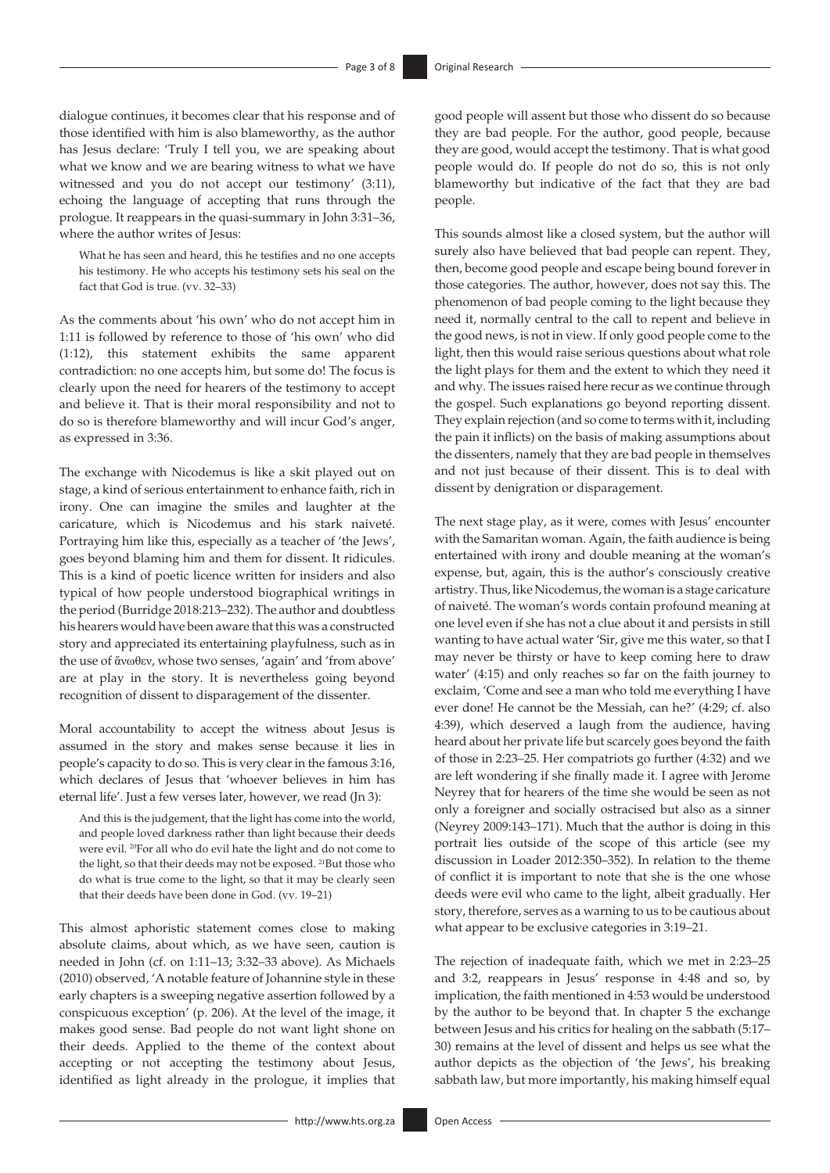dialogue continues, it becomes clear that his response and of those identified with him is also blameworthy, as the author has Jesus declare: 'Truly I tell you, we are speaking about what we know and we are bearing witness to what we have witnessed and you do not accept our testimony' (3:11), echoing the language of accepting that runs through the prologue. It reappears in the quasi-summary in John 3:31–36, where the author writes of Jesus:

What he has seen and heard, this he testifies and no one accepts his testimony. He who accepts his testimony sets his seal on the fact that God is true. (vv. 32–33)

As the comments about 'his own' who do not accept him in 1:11 is followed by reference to those of 'his own' who did (1:12), this statement exhibits the same apparent contradiction: no one accepts him, but some do! The focus is clearly upon the need for hearers of the testimony to accept and believe it. That is their moral responsibility and not to do so is therefore blameworthy and will incur God's anger, as expressed in 3:36.

The exchange with Nicodemus is like a skit played out on stage, a kind of serious entertainment to enhance faith, rich in irony. One can imagine the smiles and laughter at the caricature, which is Nicodemus and his stark naiveté. Portraying him like this, especially as a teacher of 'the Jews', goes beyond blaming him and them for dissent. It ridicules. This is a kind of poetic licence written for insiders and also typical of how people understood biographical writings in the period (Burridge 2018:213–232). The author and doubtless his hearers would have been aware that this was a constructed story and appreciated its entertaining playfulness, such as in the use of ἄνωθεν, whose two senses, 'again' and 'from above' are at play in the story. It is nevertheless going beyond recognition of dissent to disparagement of the dissenter.

Moral accountability to accept the witness about Jesus is assumed in the story and makes sense because it lies in people's capacity to do so. This is very clear in the famous 3:16, which declares of Jesus that 'whoever believes in him has eternal life'. Just a few verses later, however, we read (Jn 3):

And this is the judgement, that the light has come into the world, and people loved darkness rather than light because their deeds were evil. 20For all who do evil hate the light and do not come to the light, so that their deeds may not be exposed. <sup>21</sup>But those who do what is true come to the light, so that it may be clearly seen that their deeds have been done in God. (vv. 19–21)

This almost aphoristic statement comes close to making absolute claims, about which, as we have seen, caution is needed in John (cf. on 1:11–13; 3:32–33 above). As Michaels (2010) observed, 'A notable feature of Johannine style in these early chapters is a sweeping negative assertion followed by a conspicuous exception' (p. 206). At the level of the image, it makes good sense. Bad people do not want light shone on their deeds. Applied to the theme of the context about accepting or not accepting the testimony about Jesus, identified as light already in the prologue, it implies that

good people will assent but those who dissent do so because they are bad people. For the author, good people, because they are good, would accept the testimony. That is what good people would do. If people do not do so, this is not only blameworthy but indicative of the fact that they are bad people.

This sounds almost like a closed system, but the author will surely also have believed that bad people can repent. They, then, become good people and escape being bound forever in those categories. The author, however, does not say this. The phenomenon of bad people coming to the light because they need it, normally central to the call to repent and believe in the good news, is not in view. If only good people come to the light, then this would raise serious questions about what role the light plays for them and the extent to which they need it and why. The issues raised here recur as we continue through the gospel. Such explanations go beyond reporting dissent. They explain rejection (and so come to terms with it, including the pain it inflicts) on the basis of making assumptions about the dissenters, namely that they are bad people in themselves and not just because of their dissent. This is to deal with dissent by denigration or disparagement.

The next stage play, as it were, comes with Jesus' encounter with the Samaritan woman. Again, the faith audience is being entertained with irony and double meaning at the woman's expense, but, again, this is the author's consciously creative artistry. Thus, like Nicodemus, the woman is a stage caricature of naiveté. The woman's words contain profound meaning at one level even if she has not a clue about it and persists in still wanting to have actual water 'Sir, give me this water, so that I may never be thirsty or have to keep coming here to draw water' (4:15) and only reaches so far on the faith journey to exclaim, 'Come and see a man who told me everything I have ever done! He cannot be the Messiah, can he?' (4:29; cf. also 4:39), which deserved a laugh from the audience, having heard about her private life but scarcely goes beyond the faith of those in 2:23–25. Her compatriots go further (4:32) and we are left wondering if she finally made it. I agree with Jerome Neyrey that for hearers of the time she would be seen as not only a foreigner and socially ostracised but also as a sinner (Neyrey 2009:143–171). Much that the author is doing in this portrait lies outside of the scope of this article (see my discussion in Loader 2012:350–352). In relation to the theme of conflict it is important to note that she is the one whose deeds were evil who came to the light, albeit gradually. Her story, therefore, serves as a warning to us to be cautious about what appear to be exclusive categories in 3:19–21.

The rejection of inadequate faith, which we met in 2:23–25 and 3:2, reappears in Jesus' response in 4:48 and so, by implication, the faith mentioned in 4:53 would be understood by the author to be beyond that. In chapter 5 the exchange between Jesus and his critics for healing on the sabbath (5:17– 30) remains at the level of dissent and helps us see what the author depicts as the objection of 'the Jews', his breaking sabbath law, but more importantly, his making himself equal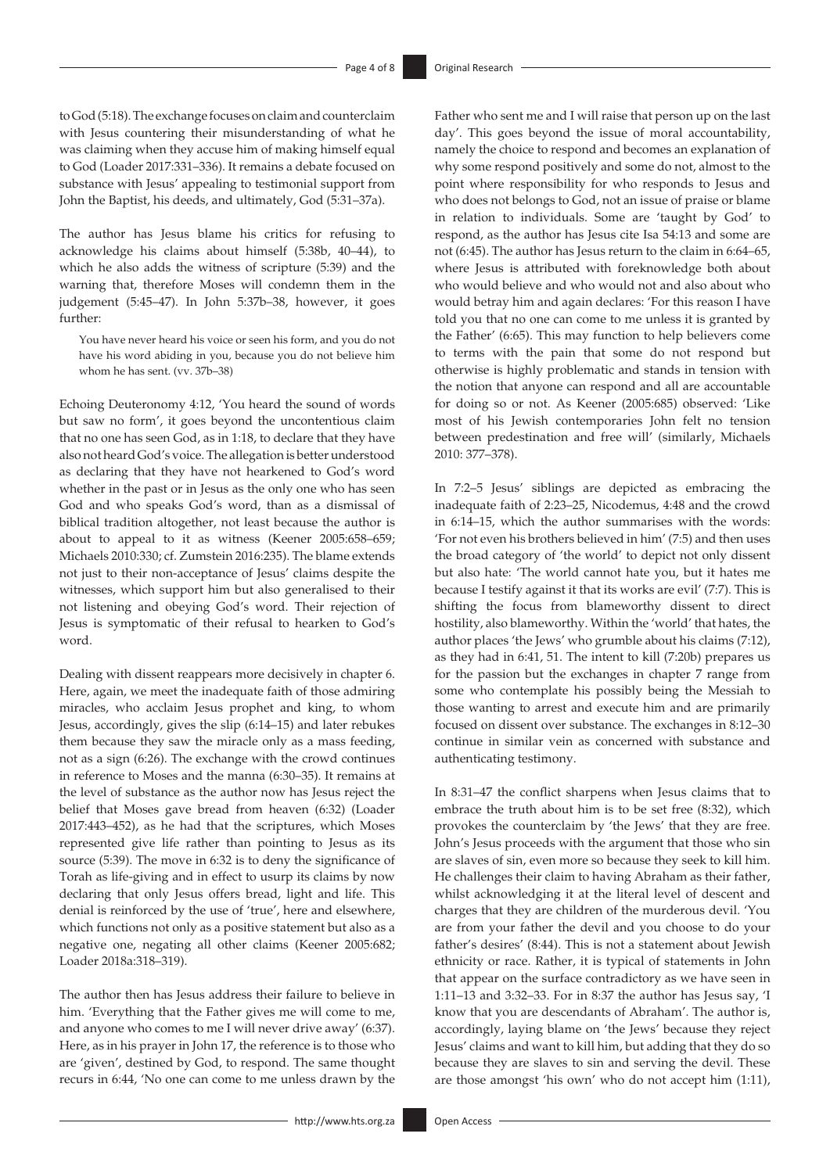to God (5:18). The exchange focuses on claim and counterclaim with Jesus countering their misunderstanding of what he was claiming when they accuse him of making himself equal to God (Loader 2017:331–336). It remains a debate focused on substance with Jesus' appealing to testimonial support from John the Baptist, his deeds, and ultimately, God (5:31–37a).

The author has Jesus blame his critics for refusing to acknowledge his claims about himself (5:38b, 40–44), to which he also adds the witness of scripture (5:39) and the warning that, therefore Moses will condemn them in the judgement (5:45–47). In John 5:37b–38, however, it goes further:

You have never heard his voice or seen his form, and you do not have his word abiding in you, because you do not believe him whom he has sent. (vv. 37b–38)

Echoing Deuteronomy 4:12, 'You heard the sound of words but saw no form', it goes beyond the uncontentious claim that no one has seen God, as in 1:18, to declare that they have also not heard God's voice. The allegation is better understood as declaring that they have not hearkened to God's word whether in the past or in Jesus as the only one who has seen God and who speaks God's word, than as a dismissal of biblical tradition altogether, not least because the author is about to appeal to it as witness (Keener 2005:658–659; Michaels 2010:330; cf. Zumstein 2016:235). The blame extends not just to their non-acceptance of Jesus' claims despite the witnesses, which support him but also generalised to their not listening and obeying God's word. Their rejection of Jesus is symptomatic of their refusal to hearken to God's word.

Dealing with dissent reappears more decisively in chapter 6. Here, again, we meet the inadequate faith of those admiring miracles, who acclaim Jesus prophet and king, to whom Jesus, accordingly, gives the slip (6:14–15) and later rebukes them because they saw the miracle only as a mass feeding, not as a sign (6:26). The exchange with the crowd continues in reference to Moses and the manna (6:30–35). It remains at the level of substance as the author now has Jesus reject the belief that Moses gave bread from heaven (6:32) (Loader 2017:443–452), as he had that the scriptures, which Moses represented give life rather than pointing to Jesus as its source (5:39). The move in 6:32 is to deny the significance of Torah as life-giving and in effect to usurp its claims by now declaring that only Jesus offers bread, light and life. This denial is reinforced by the use of 'true', here and elsewhere, which functions not only as a positive statement but also as a negative one, negating all other claims (Keener 2005:682; Loader 2018a:318–319).

The author then has Jesus address their failure to believe in him. 'Everything that the Father gives me will come to me, and anyone who comes to me I will never drive away' (6:37). Here, as in his prayer in John 17, the reference is to those who are 'given', destined by God, to respond. The same thought recurs in 6:44, 'No one can come to me unless drawn by the

Father who sent me and I will raise that person up on the last day'. This goes beyond the issue of moral accountability, namely the choice to respond and becomes an explanation of why some respond positively and some do not, almost to the point where responsibility for who responds to Jesus and who does not belongs to God, not an issue of praise or blame in relation to individuals. Some are 'taught by God' to respond, as the author has Jesus cite Isa 54:13 and some are not (6:45). The author has Jesus return to the claim in 6:64–65, where Jesus is attributed with foreknowledge both about who would believe and who would not and also about who would betray him and again declares: 'For this reason I have told you that no one can come to me unless it is granted by the Father' (6:65). This may function to help believers come to terms with the pain that some do not respond but otherwise is highly problematic and stands in tension with the notion that anyone can respond and all are accountable for doing so or not. As Keener (2005:685) observed: 'Like most of his Jewish contemporaries John felt no tension between predestination and free will' (similarly, Michaels 2010: 377–378).

In 7:2–5 Jesus' siblings are depicted as embracing the inadequate faith of 2:23–25, Nicodemus, 4:48 and the crowd in 6:14–15, which the author summarises with the words: 'For not even his brothers believed in him' (7:5) and then uses the broad category of 'the world' to depict not only dissent but also hate: 'The world cannot hate you, but it hates me because I testify against it that its works are evil' (7:7). This is shifting the focus from blameworthy dissent to direct hostility, also blameworthy. Within the 'world' that hates, the author places 'the Jews' who grumble about his claims (7:12), as they had in 6:41, 51. The intent to kill (7:20b) prepares us for the passion but the exchanges in chapter 7 range from some who contemplate his possibly being the Messiah to those wanting to arrest and execute him and are primarily focused on dissent over substance. The exchanges in 8:12–30 continue in similar vein as concerned with substance and authenticating testimony.

In 8:31–47 the conflict sharpens when Jesus claims that to embrace the truth about him is to be set free (8:32), which provokes the counterclaim by 'the Jews' that they are free. John's Jesus proceeds with the argument that those who sin are slaves of sin, even more so because they seek to kill him. He challenges their claim to having Abraham as their father, whilst acknowledging it at the literal level of descent and charges that they are children of the murderous devil. 'You are from your father the devil and you choose to do your father's desires' (8:44). This is not a statement about Jewish ethnicity or race. Rather, it is typical of statements in John that appear on the surface contradictory as we have seen in 1:11–13 and 3:32–33. For in 8:37 the author has Jesus say, 'I know that you are descendants of Abraham'. The author is, accordingly, laying blame on 'the Jews' because they reject Jesus' claims and want to kill him, but adding that they do so because they are slaves to sin and serving the devil. These are those amongst 'his own' who do not accept him (1:11),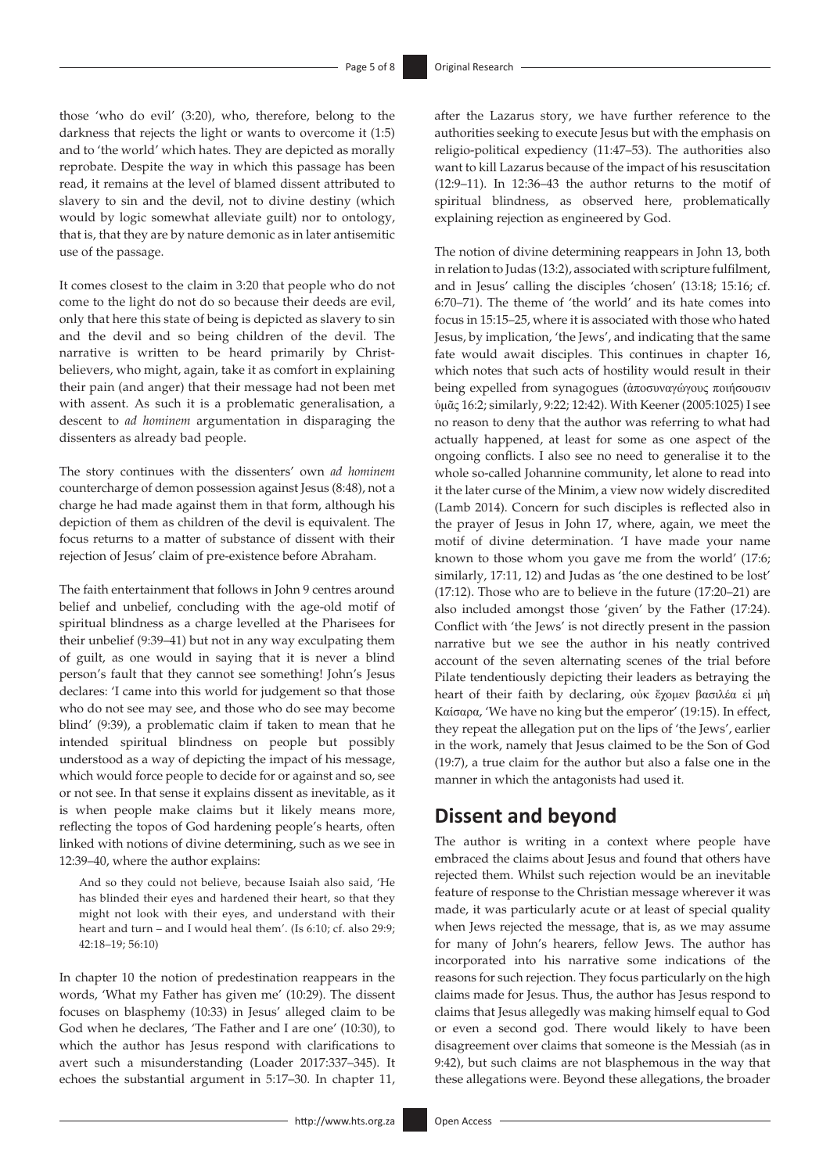those 'who do evil' (3:20), who, therefore, belong to the darkness that rejects the light or wants to overcome it (1:5) and to 'the world' which hates. They are depicted as morally reprobate. Despite the way in which this passage has been read, it remains at the level of blamed dissent attributed to slavery to sin and the devil, not to divine destiny (which would by logic somewhat alleviate guilt) nor to ontology, that is, that they are by nature demonic as in later antisemitic use of the passage.

It comes closest to the claim in 3:20 that people who do not come to the light do not do so because their deeds are evil, only that here this state of being is depicted as slavery to sin and the devil and so being children of the devil. The narrative is written to be heard primarily by Christbelievers, who might, again, take it as comfort in explaining their pain (and anger) that their message had not been met with assent. As such it is a problematic generalisation, a descent to *ad hominem* argumentation in disparaging the dissenters as already bad people.

The story continues with the dissenters' own *ad hominem* countercharge of demon possession against Jesus (8:48), not a charge he had made against them in that form, although his depiction of them as children of the devil is equivalent. The focus returns to a matter of substance of dissent with their rejection of Jesus' claim of pre-existence before Abraham.

The faith entertainment that follows in John 9 centres around belief and unbelief, concluding with the age-old motif of spiritual blindness as a charge levelled at the Pharisees for their unbelief (9:39–41) but not in any way exculpating them of guilt, as one would in saying that it is never a blind person's fault that they cannot see something! John's Jesus declares: 'I came into this world for judgement so that those who do not see may see, and those who do see may become blind' (9:39), a problematic claim if taken to mean that he intended spiritual blindness on people but possibly understood as a way of depicting the impact of his message, which would force people to decide for or against and so, see or not see. In that sense it explains dissent as inevitable, as it is when people make claims but it likely means more, reflecting the topos of God hardening people's hearts, often linked with notions of divine determining, such as we see in 12:39–40, where the author explains:

And so they could not believe, because Isaiah also said, 'He has blinded their eyes and hardened their heart, so that they might not look with their eyes, and understand with their heart and turn – and I would heal them'. (Is 6:10; cf. also 29:9; 42:18–19; 56:10)

In chapter 10 the notion of predestination reappears in the words, 'What my Father has given me' (10:29). The dissent focuses on blasphemy (10:33) in Jesus' alleged claim to be God when he declares, 'The Father and I are one' (10:30), to which the author has Jesus respond with clarifications to avert such a misunderstanding (Loader 2017:337–345). It echoes the substantial argument in 5:17–30. In chapter 11,

after the Lazarus story, we have further reference to the authorities seeking to execute Jesus but with the emphasis on religio-political expediency (11:47–53). The authorities also want to kill Lazarus because of the impact of his resuscitation (12:9–11). In 12:36–43 the author returns to the motif of spiritual blindness, as observed here, problematically explaining rejection as engineered by God.

The notion of divine determining reappears in John 13, both in relation to Judas (13:2), associated with scripture fulfilment, and in Jesus' calling the disciples 'chosen' (13:18; 15:16; cf. 6:70–71). The theme of 'the world' and its hate comes into focus in 15:15–25, where it is associated with those who hated Jesus, by implication, 'the Jews', and indicating that the same fate would await disciples. This continues in chapter 16, which notes that such acts of hostility would result in their being expelled from synagogues (ἀποσυναγώγους ποιήσουσιν ὑμᾶς 16:2; similarly, 9:22; 12:42). With Keener (2005:1025) I see no reason to deny that the author was referring to what had actually happened, at least for some as one aspect of the ongoing conflicts. I also see no need to generalise it to the whole so-called Johannine community, let alone to read into it the later curse of the Minim, a view now widely discredited (Lamb 2014). Concern for such disciples is reflected also in the prayer of Jesus in John 17, where, again, we meet the motif of divine determination. 'I have made your name known to those whom you gave me from the world' (17:6; similarly, 17:11, 12) and Judas as 'the one destined to be lost' (17:12). Those who are to believe in the future (17:20–21) are also included amongst those 'given' by the Father (17:24). Conflict with 'the Jews' is not directly present in the passion narrative but we see the author in his neatly contrived account of the seven alternating scenes of the trial before Pilate tendentiously depicting their leaders as betraying the heart of their faith by declaring, οὐκ ἔχομεν βασιλέα εἰ μὴ Καίσαρα, 'We have no king but the emperor' (19:15). In effect, they repeat the allegation put on the lips of 'the Jews', earlier in the work, namely that Jesus claimed to be the Son of God (19:7), a true claim for the author but also a false one in the manner in which the antagonists had used it.

# **Dissent and beyond**

The author is writing in a context where people have embraced the claims about Jesus and found that others have rejected them. Whilst such rejection would be an inevitable feature of response to the Christian message wherever it was made, it was particularly acute or at least of special quality when Jews rejected the message, that is, as we may assume for many of John's hearers, fellow Jews. The author has incorporated into his narrative some indications of the reasons for such rejection. They focus particularly on the high claims made for Jesus. Thus, the author has Jesus respond to claims that Jesus allegedly was making himself equal to God or even a second god. There would likely to have been disagreement over claims that someone is the Messiah (as in 9:42), but such claims are not blasphemous in the way that these allegations were. Beyond these allegations, the broader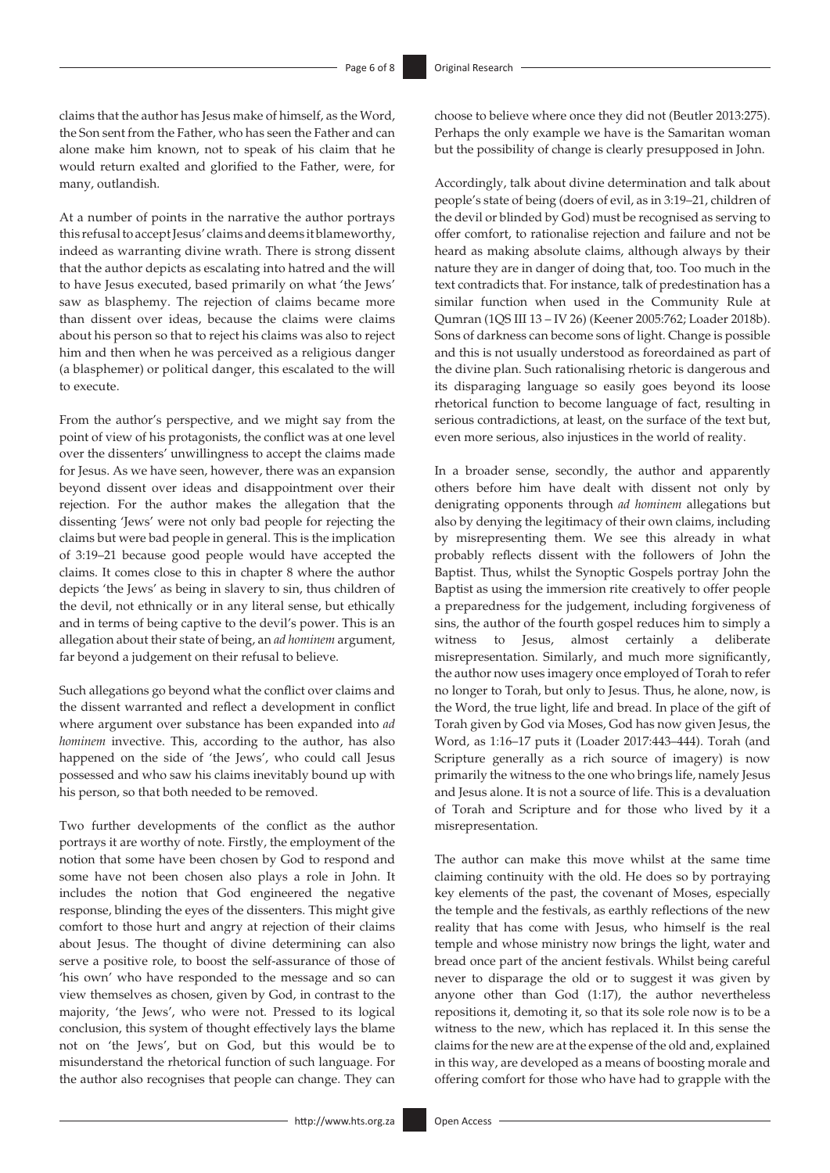claims that the author has Jesus make of himself, as the Word, the Son sent from the Father, who has seen the Father and can alone make him known, not to speak of his claim that he would return exalted and glorified to the Father, were, for many, outlandish.

At a number of points in the narrative the author portrays this refusal to accept Jesus' claims and deems it blameworthy, indeed as warranting divine wrath. There is strong dissent that the author depicts as escalating into hatred and the will to have Jesus executed, based primarily on what 'the Jews' saw as blasphemy. The rejection of claims became more than dissent over ideas, because the claims were claims about his person so that to reject his claims was also to reject him and then when he was perceived as a religious danger (a blasphemer) or political danger, this escalated to the will to execute.

From the author's perspective, and we might say from the point of view of his protagonists, the conflict was at one level over the dissenters' unwillingness to accept the claims made for Jesus. As we have seen, however, there was an expansion beyond dissent over ideas and disappointment over their rejection. For the author makes the allegation that the dissenting 'Jews' were not only bad people for rejecting the claims but were bad people in general. This is the implication of 3:19–21 because good people would have accepted the claims. It comes close to this in chapter 8 where the author depicts 'the Jews' as being in slavery to sin, thus children of the devil, not ethnically or in any literal sense, but ethically and in terms of being captive to the devil's power. This is an allegation about their state of being, an *ad hominem* argument, far beyond a judgement on their refusal to believe.

Such allegations go beyond what the conflict over claims and the dissent warranted and reflect a development in conflict where argument over substance has been expanded into *ad hominem* invective. This, according to the author, has also happened on the side of 'the Jews', who could call Jesus possessed and who saw his claims inevitably bound up with his person, so that both needed to be removed.

Two further developments of the conflict as the author portrays it are worthy of note. Firstly, the employment of the notion that some have been chosen by God to respond and some have not been chosen also plays a role in John. It includes the notion that God engineered the negative response, blinding the eyes of the dissenters. This might give comfort to those hurt and angry at rejection of their claims about Jesus. The thought of divine determining can also serve a positive role, to boost the self-assurance of those of 'his own' who have responded to the message and so can view themselves as chosen, given by God, in contrast to the majority, 'the Jews', who were not. Pressed to its logical conclusion, this system of thought effectively lays the blame not on 'the Jews', but on God, but this would be to misunderstand the rhetorical function of such language. For the author also recognises that people can change. They can choose to believe where once they did not (Beutler 2013:275). Perhaps the only example we have is the Samaritan woman but the possibility of change is clearly presupposed in John.

Accordingly, talk about divine determination and talk about people's state of being (doers of evil, as in 3:19–21, children of the devil or blinded by God) must be recognised as serving to offer comfort, to rationalise rejection and failure and not be heard as making absolute claims, although always by their nature they are in danger of doing that, too. Too much in the text contradicts that. For instance, talk of predestination has a similar function when used in the Community Rule at Qumran (1QS III 13 – IV 26) (Keener 2005:762; Loader 2018b). Sons of darkness can become sons of light. Change is possible and this is not usually understood as foreordained as part of the divine plan. Such rationalising rhetoric is dangerous and its disparaging language so easily goes beyond its loose rhetorical function to become language of fact, resulting in serious contradictions, at least, on the surface of the text but, even more serious, also injustices in the world of reality.

In a broader sense, secondly, the author and apparently others before him have dealt with dissent not only by denigrating opponents through *ad hominem* allegations but also by denying the legitimacy of their own claims, including by misrepresenting them. We see this already in what probably reflects dissent with the followers of John the Baptist. Thus, whilst the Synoptic Gospels portray John the Baptist as using the immersion rite creatively to offer people a preparedness for the judgement, including forgiveness of sins, the author of the fourth gospel reduces him to simply a witness to Jesus, almost certainly a deliberate misrepresentation. Similarly, and much more significantly, the author now uses imagery once employed of Torah to refer no longer to Torah, but only to Jesus. Thus, he alone, now, is the Word, the true light, life and bread. In place of the gift of Torah given by God via Moses, God has now given Jesus, the Word, as 1:16–17 puts it (Loader 2017:443–444). Torah (and Scripture generally as a rich source of imagery) is now primarily the witness to the one who brings life, namely Jesus and Jesus alone. It is not a source of life. This is a devaluation of Torah and Scripture and for those who lived by it a misrepresentation.

The author can make this move whilst at the same time claiming continuity with the old. He does so by portraying key elements of the past, the covenant of Moses, especially the temple and the festivals, as earthly reflections of the new reality that has come with Jesus, who himself is the real temple and whose ministry now brings the light, water and bread once part of the ancient festivals. Whilst being careful never to disparage the old or to suggest it was given by anyone other than God (1:17), the author nevertheless repositions it, demoting it, so that its sole role now is to be a witness to the new, which has replaced it. In this sense the claims for the new are at the expense of the old and, explained in this way, are developed as a means of boosting morale and offering comfort for those who have had to grapple with the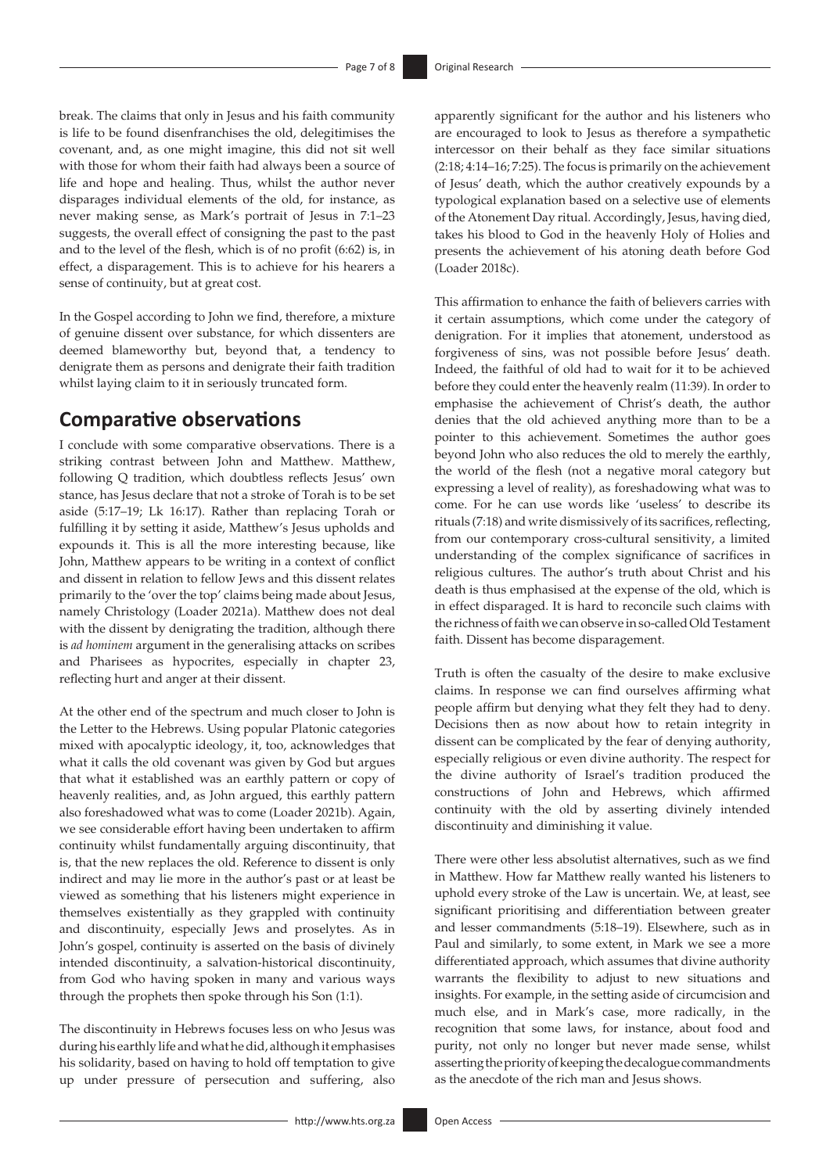break. The claims that only in Jesus and his faith community is life to be found disenfranchises the old, delegitimises the covenant, and, as one might imagine, this did not sit well with those for whom their faith had always been a source of life and hope and healing. Thus, whilst the author never disparages individual elements of the old, for instance, as never making sense, as Mark's portrait of Jesus in 7:1–23 suggests, the overall effect of consigning the past to the past and to the level of the flesh, which is of no profit (6:62) is, in effect, a disparagement. This is to achieve for his hearers a sense of continuity, but at great cost.

In the Gospel according to John we find, therefore, a mixture of genuine dissent over substance, for which dissenters are deemed blameworthy but, beyond that, a tendency to denigrate them as persons and denigrate their faith tradition whilst laying claim to it in seriously truncated form.

# **Comparative observations**

I conclude with some comparative observations. There is a striking contrast between John and Matthew. Matthew, following Q tradition, which doubtless reflects Jesus' own stance, has Jesus declare that not a stroke of Torah is to be set aside (5:17–19; Lk 16:17). Rather than replacing Torah or fulfilling it by setting it aside, Matthew's Jesus upholds and expounds it. This is all the more interesting because, like John, Matthew appears to be writing in a context of conflict and dissent in relation to fellow Jews and this dissent relates primarily to the 'over the top' claims being made about Jesus, namely Christology (Loader 2021a). Matthew does not deal with the dissent by denigrating the tradition, although there is *ad hominem* argument in the generalising attacks on scribes and Pharisees as hypocrites, especially in chapter 23, reflecting hurt and anger at their dissent.

At the other end of the spectrum and much closer to John is the Letter to the Hebrews. Using popular Platonic categories mixed with apocalyptic ideology, it, too, acknowledges that what it calls the old covenant was given by God but argues that what it established was an earthly pattern or copy of heavenly realities, and, as John argued, this earthly pattern also foreshadowed what was to come (Loader 2021b). Again, we see considerable effort having been undertaken to affirm continuity whilst fundamentally arguing discontinuity, that is, that the new replaces the old. Reference to dissent is only indirect and may lie more in the author's past or at least be viewed as something that his listeners might experience in themselves existentially as they grappled with continuity and discontinuity, especially Jews and proselytes. As in John's gospel, continuity is asserted on the basis of divinely intended discontinuity, a salvation-historical discontinuity, from God who having spoken in many and various ways through the prophets then spoke through his Son (1:1).

The discontinuity in Hebrews focuses less on who Jesus was during his earthly life and what he did, although it emphasises his solidarity, based on having to hold off temptation to give up under pressure of persecution and suffering, also apparently significant for the author and his listeners who are encouraged to look to Jesus as therefore a sympathetic intercessor on their behalf as they face similar situations (2:18; 4:14–16; 7:25). The focus is primarily on the achievement of Jesus' death, which the author creatively expounds by a typological explanation based on a selective use of elements of the Atonement Day ritual. Accordingly, Jesus, having died, takes his blood to God in the heavenly Holy of Holies and presents the achievement of his atoning death before God (Loader 2018c).

This affirmation to enhance the faith of believers carries with it certain assumptions, which come under the category of denigration. For it implies that atonement, understood as forgiveness of sins, was not possible before Jesus' death. Indeed, the faithful of old had to wait for it to be achieved before they could enter the heavenly realm (11:39). In order to emphasise the achievement of Christ's death, the author denies that the old achieved anything more than to be a pointer to this achievement. Sometimes the author goes beyond John who also reduces the old to merely the earthly, the world of the flesh (not a negative moral category but expressing a level of reality), as foreshadowing what was to come. For he can use words like 'useless' to describe its rituals (7:18) and write dismissively of its sacrifices, reflecting, from our contemporary cross-cultural sensitivity, a limited understanding of the complex significance of sacrifices in religious cultures. The author's truth about Christ and his death is thus emphasised at the expense of the old, which is in effect disparaged. It is hard to reconcile such claims with the richness of faith we can observe in so-called Old Testament faith. Dissent has become disparagement.

Truth is often the casualty of the desire to make exclusive claims. In response we can find ourselves affirming what people affirm but denying what they felt they had to deny. Decisions then as now about how to retain integrity in dissent can be complicated by the fear of denying authority, especially religious or even divine authority. The respect for the divine authority of Israel's tradition produced the constructions of John and Hebrews, which affirmed continuity with the old by asserting divinely intended discontinuity and diminishing it value.

There were other less absolutist alternatives, such as we find in Matthew. How far Matthew really wanted his listeners to uphold every stroke of the Law is uncertain. We, at least, see significant prioritising and differentiation between greater and lesser commandments (5:18–19). Elsewhere, such as in Paul and similarly, to some extent, in Mark we see a more differentiated approach, which assumes that divine authority warrants the flexibility to adjust to new situations and insights. For example, in the setting aside of circumcision and much else, and in Mark's case, more radically, in the recognition that some laws, for instance, about food and purity, not only no longer but never made sense, whilst asserting the priority of keeping the decalogue commandments as the anecdote of the rich man and Jesus shows.